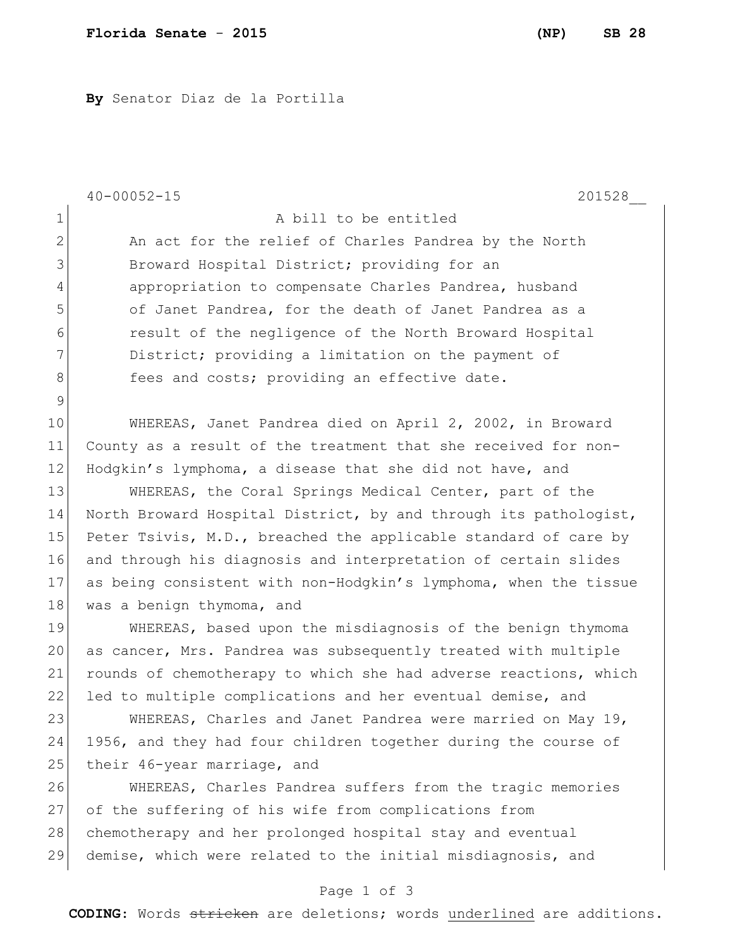**By** Senator Diaz de la Portilla

|              | $40 - 00052 - 15$<br>201528                                      |
|--------------|------------------------------------------------------------------|
| $\mathbf 1$  | A bill to be entitled                                            |
| $\mathbf{2}$ | An act for the relief of Charles Pandrea by the North            |
| 3            | Broward Hospital District; providing for an                      |
| 4            | appropriation to compensate Charles Pandrea, husband             |
| 5            | of Janet Pandrea, for the death of Janet Pandrea as a            |
| 6            | result of the negligence of the North Broward Hospital           |
| 7            | District; providing a limitation on the payment of               |
| $\,8\,$      | fees and costs; providing an effective date.                     |
| $\mathsf 9$  |                                                                  |
| 10           | WHEREAS, Janet Pandrea died on April 2, 2002, in Broward         |
| 11           | County as a result of the treatment that she received for non-   |
| 12           | Hodgkin's lymphoma, a disease that she did not have, and         |
| 13           | WHEREAS, the Coral Springs Medical Center, part of the           |
| 14           | North Broward Hospital District, by and through its pathologist, |
| 15           | Peter Tsivis, M.D., breached the applicable standard of care by  |
| 16           | and through his diagnosis and interpretation of certain slides   |
| 17           | as being consistent with non-Hodgkin's lymphoma, when the tissue |
| 18           | was a benign thymoma, and                                        |
| 19           | WHEREAS, based upon the misdiagnosis of the benign thymoma       |
| 20           | as cancer, Mrs. Pandrea was subsequently treated with multiple   |
| 21           | rounds of chemotherapy to which she had adverse reactions, which |
| 22           | led to multiple complications and her eventual demise, and       |
| 23           | WHEREAS, Charles and Janet Pandrea were married on May 19,       |
| 24           | 1956, and they had four children together during the course of   |
| 25           | their 46-year marriage, and                                      |
| 26           | WHEREAS, Charles Pandrea suffers from the tragic memories        |
| 27           | of the suffering of his wife from complications from             |
| 28           | chemotherapy and her prolonged hospital stay and eventual        |
| 29           | demise, which were related to the initial misdiagnosis, and      |
|              | Page 1 of 3                                                      |

**CODING**: Words stricken are deletions; words underlined are additions.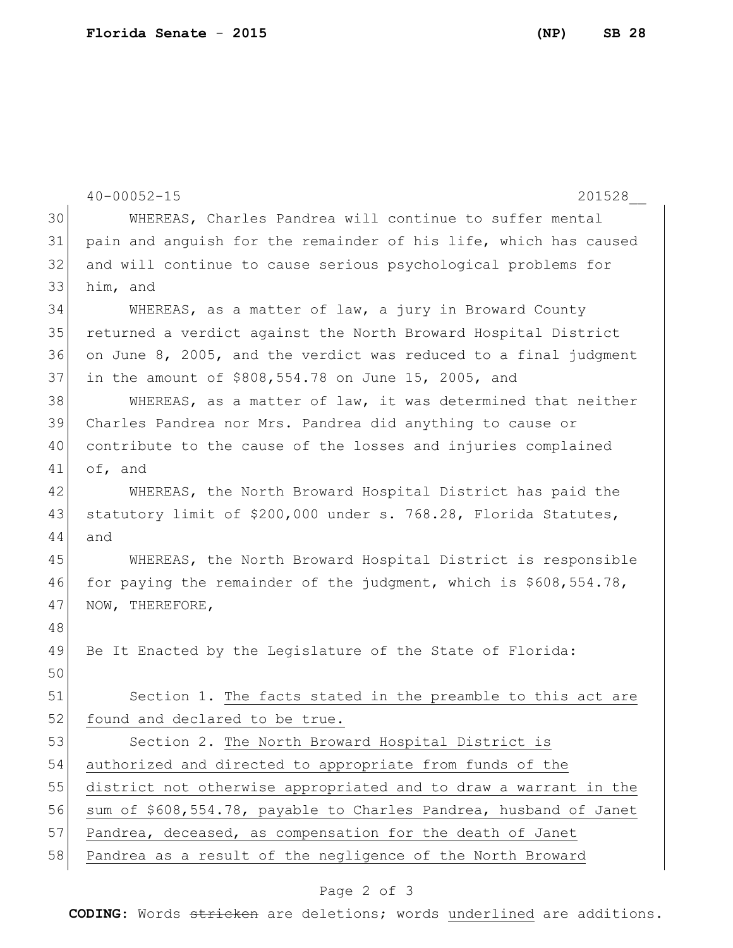```
40-00052-15 201528__
30 WHEREAS, Charles Pandrea will continue to suffer mental 
31 pain and anguish for the remainder of his life, which has caused 
32 and will continue to cause serious psychological problems for 
33 him, and
34 WHEREAS, as a matter of law, a jury in Broward County 
35 returned a verdict against the North Broward Hospital District 
36 on June 8, 2005, and the verdict was reduced to a final judgment 
37 in the amount of $808,554.78 on June 15, 2005, and
38 WHEREAS, as a matter of law, it was determined that neither
39 Charles Pandrea nor Mrs. Pandrea did anything to cause or 
40 contribute to the cause of the losses and injuries complained 
41 of, and
42 WHEREAS, the North Broward Hospital District has paid the 
43 statutory limit of $200,000 under s. 768.28, Florida Statutes,
44 and
45 WHEREAS, the North Broward Hospital District is responsible 
46 for paying the remainder of the judgment, which is $608,554.78, 
47 NOW, THEREFORE,
48
49 Be It Enacted by the Legislature of the State of Florida:
50
51 Section 1. The facts stated in the preamble to this act are
52 found and declared to be true.
53 Section 2. The North Broward Hospital District is
54 authorized and directed to appropriate from funds of the 
55 district not otherwise appropriated and to draw a warrant in the 
56 sum of $608,554.78, payable to Charles Pandrea, husband of Janet
57 Pandrea, deceased, as compensation for the death of Janet
58 Pandrea as a result of the negligence of the North Broward
```
## Page 2 of 3

**CODING**: Words stricken are deletions; words underlined are additions.